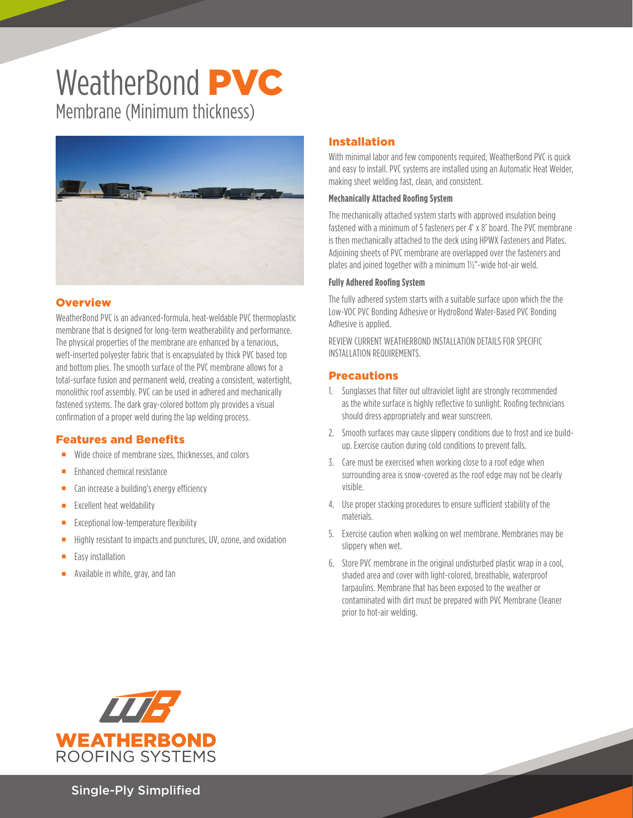# WeatherBond **PVC** Membrane (Minimum thickness)



## **Overview**

WeatherBond PVC is an advanced-formula, heat-weldable PVC thermoplastic membrane that is designed for long-term weatherability and performance. The physical properties of the membrane are enhanced by a tenacious, weft-inserted polyester fabric that is encapsulated by thick PVC based top and bottom plies. The smooth surface of the PVC membrane allows for a total-surface fusion and permanent weld, creating a consistent, watertight, monolithic roof assembly. PVC can be used in adhered and mechanically fastened systems. The dark gray-colored bottom ply provides a visual confirmation of a proper weld during the lap welding process.

#### Features and Benefits

- Wide choice of membrane sizes, thicknesses, and colors
- **Enhanced chemical resistance**
- **EXEC** Can increase a building's energy efficiency
- **Excellent heat weldability**
- $\blacksquare$  Exceptional low-temperature flexibility
- **Highly resistant to impacts and punctures, UV, ozone, and oxidation**
- $\blacksquare$  Easy installation
- **Available in white, gray, and tan**

## Installation

With minimal labor and few components required, WeatherBond PVC is quick and easy to install. PVC systems are installed using an Automatic Heat Welder, making sheet welding fast, clean, and consistent.

#### **Mechanically Attached Roofing System**

The mechanically attached system starts with approved insulation being fastened with a minimum of 5 fasteners per 4' x 8' board. The PVC membrane is then mechanically attached to the deck using HPWX Fasteners and Plates. Adjoining sheets of PVC membrane are overlapped over the fasteners and plates and joined together with a minimum 1½"-wide hot-air weld.

#### **Fully Adhered Roofing System**

The fully adhered system starts with a suitable surface upon which the the Low-VOC PVC Bonding Adhesive or HydroBond Water-Based PVC Bonding Adhesive is applied.

REVIEW CURRENT WEATHERBOND INSTALLATION DETAILS FOR SPECIFIC INSTALLATION REQUIREMENTS.

#### Precautions

- 1. Sunglasses that filter out ultraviolet light are strongly recommended as the white surface is highly reflective to sunlight. Roofing technicians should dress appropriately and wear sunscreen.
- 2. Smooth surfaces may cause slippery conditions due to frost and ice buildup. Exercise caution during cold conditions to prevent falls.
- 3. Care must be exercised when working close to a roof edge when surrounding area is snow-covered as the roof edge may not be clearly visible.
- 4. Use proper stacking procedures to ensure sufficient stability of the materials.
- 5. Exercise caution when walking on wet membrane. Membranes may be slippery when wet.
- 6. Store PVC membrane in the original undisturbed plastic wrap in a cool, shaded area and cover with light-colored, breathable, waterproof tarpaulins. Membrane that has been exposed to the weather or contaminated with dirt must be prepared with PVC Membrane Cleaner prior to hot-air welding.



Single-Ply Simplified